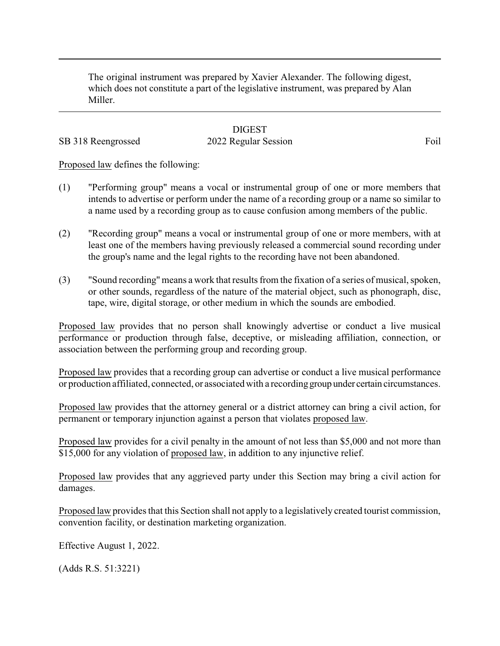The original instrument was prepared by Xavier Alexander. The following digest, which does not constitute a part of the legislative instrument, was prepared by Alan Miller.

## **DIGEST** SB 318 Reengrossed 2022 Regular Session Foil

Proposed law defines the following:

- (1) "Performing group" means a vocal or instrumental group of one or more members that intends to advertise or perform under the name of a recording group or a name so similar to a name used by a recording group as to cause confusion among members of the public.
- (2) "Recording group" means a vocal or instrumental group of one or more members, with at least one of the members having previously released a commercial sound recording under the group's name and the legal rights to the recording have not been abandoned.
- (3) "Sound recording" means a work that results from the fixation of a series of musical, spoken, or other sounds, regardless of the nature of the material object, such as phonograph, disc, tape, wire, digital storage, or other medium in which the sounds are embodied.

Proposed law provides that no person shall knowingly advertise or conduct a live musical performance or production through false, deceptive, or misleading affiliation, connection, or association between the performing group and recording group.

Proposed law provides that a recording group can advertise or conduct a live musical performance or production affiliated, connected, or associated with a recordinggroup under certain circumstances.

Proposed law provides that the attorney general or a district attorney can bring a civil action, for permanent or temporary injunction against a person that violates proposed law.

Proposed law provides for a civil penalty in the amount of not less than \$5,000 and not more than \$15,000 for any violation of proposed law, in addition to any injunctive relief.

Proposed law provides that any aggrieved party under this Section may bring a civil action for damages.

Proposed law provides that this Section shall not apply to a legislatively created tourist commission, convention facility, or destination marketing organization.

Effective August 1, 2022.

(Adds R.S. 51:3221)